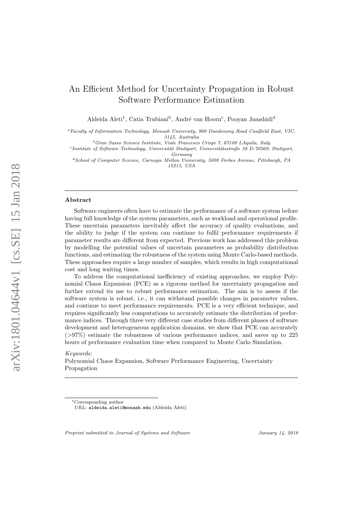# An Efficient Method for Uncertainty Propagation in Robust Software Performance Estimation

Aldeida Aleti<sup>1</sup>, Catia Trubiani<sup>b</sup>, André van Hoorn<sup>c</sup>, Pooyan Jamshidi<sup>d</sup>

<sup>a</sup>Faculty of Information Technology, Monash University, 900 Dandenong Road Caulfield East, VIC, 3145, Australia

 $b$ Gran Sasso Science Institute, Viale Francesco Crispi 7, 67100 LAquila, Italy

CInstitute of Software Technology, Universität Stuttgart, Universitätsstraße 38 D-70569, Stuttgart, Germany

<sup>d</sup>School of Computer Science, Carnegie Mellon University, 5000 Forbes Avenue, Pittsburgh, PA 15213, USA

#### Abstract

Software engineers often have to estimate the performance of a software system before having full knowledge of the system parameters, such as workload and operational profile. These uncertain parameters inevitably affect the accuracy of quality evaluations, and the ability to judge if the system can continue to fulfil performance requirements if parameter results are different from expected. Previous work has addressed this problem by modelling the potential values of uncertain parameters as probability distribution functions, and estimating the robustness of the system using Monte Carlo-based methods. These approaches require a large number of samples, which results in high computational cost and long waiting times.

To address the computational inefficiency of existing approaches, we employ Polynomial Chaos Expansion (PCE) as a rigorous method for uncertainty propagation and further extend its use to robust performance estimation. The aim is to assess if the software system is robust, i.e., it can withstand possible changes in parameter values, and continue to meet performance requirements. PCE is a very efficient technique, and requires significantly less computations to accurately estimate the distribution of performance indices. Through three very different case studies from different phases of software development and heterogeneous application domains, we show that PCE can accurately  $(>97\%)$  estimate the robustness of various performance indices, and saves up to 225 hours of performance evaluation time when compared to Monte Carlo Simulation.

# Keywords: Polynomial Chaos Expansion, Software Performance Engineering, Uncertainty Propagation

Preprint submitted to Journal of Systems and Software Theorem 3 January 14, 2018

<sup>∗</sup>Corresponding author

URL: aldeida.aleti@monash.edu (Aldeida Aleti)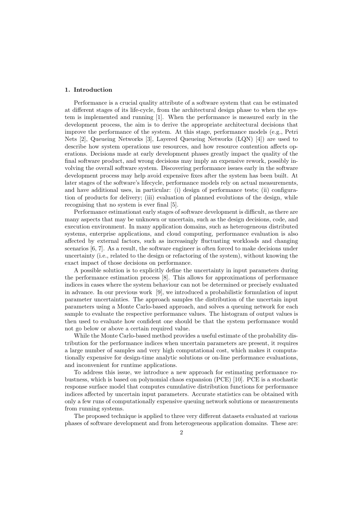## 1. Introduction

Performance is a crucial quality attribute of a software system that can be estimated at different stages of its life-cycle, from the architectural design phase to when the system is implemented and running [1]. When the performance is measured early in the development process, the aim is to derive the appropriate architectural decisions that improve the performance of the system. At this stage, performance models (e.g., Petri Nets [2], Queueing Networks [3], Layered Queueing Networks (LQN) [4]) are used to describe how system operations use resources, and how resource contention affects operations. Decisions made at early development phases greatly impact the quality of the final software product, and wrong decisions may imply an expensive rework, possibly involving the overall software system. Discovering performance issues early in the software development process may help avoid expensive fixes after the system has been built. At later stages of the software's lifecycle, performance models rely on actual measurements, and have additional uses, in particular: (i) design of performance tests; (ii) configuration of products for delivery; (iii) evaluation of planned evolutions of the design, while recognising that no system is ever final [5].

Performance estimationat early stages of software development is difficult, as there are many aspects that may be unknown or uncertain, such as the design decisions, code, and execution environment. In many application domains, such as heterogeneous distributed systems, enterprise applications, and cloud computing, performance evaluation is also affected by external factors, such as increasingly fluctuating workloads and changing scenarios [6, 7]. As a result, the software engineer is often forced to make decisions under uncertainty (i.e., related to the design or refactoring of the system), without knowing the exact impact of those decisions on performance.

A possible solution is to explicitly define the uncertainty in input parameters during the performance estimation process [8]. This allows for approximations of performance indices in cases where the system behaviour can not be determined or precisely evaluated in advance. In our previous work [9], we introduced a probabilistic formulation of input parameter uncertainties. The approach samples the distribution of the uncertain input parameters using a Monte Carlo-based approach, and solves a queuing network for each sample to evaluate the respective performance values. The histogram of output values is then used to evaluate how confident one should be that the system performance would not go below or above a certain required value.

While the Monte Carlo-based method provides a useful estimate of the probability distribution for the performance indices when uncertain parameters are present, it requires a large number of samples and very high computational cost, which makes it computationally expensive for design-time analytic solutions or on-line performance evaluations, and inconvenient for runtime applications.

To address this issue, we introduce a new approach for estimating performance robustness, which is based on polynomial chaos expansion (PCE) [10]. PCE is a stochastic response surface model that computes cumulative distribution functions for performance indices affected by uncertain input parameters. Accurate statistics can be obtained with only a few runs of computationally expensive queuing network solutions or measurements from running systems.

The proposed technique is applied to three very different datasets evaluated at various phases of software development and from heterogeneous application domains. These are: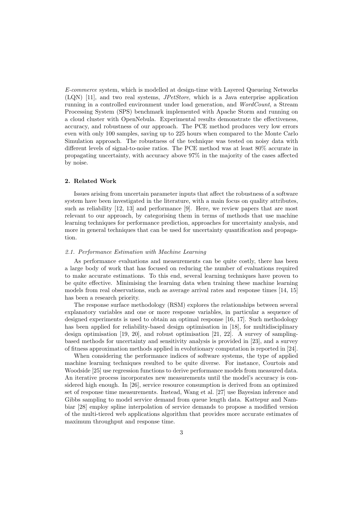E-commerce system, which is modelled at design-time with Layered Queueing Networks (LQN) [11], and two real systems, JPetStore, which is a Java enterprise application running in a controlled environment under load generation, and WordCount, a Stream Processing System (SPS) benchmark implemented with Apache Storm and running on a cloud cluster with OpenNebula. Experimental results demonstrate the effectiveness, accuracy, and robustness of our approach. The PCE method produces very low errors even with only 100 samples, saving up to 225 hours when compared to the Monte Carlo Simulation approach. The robustness of the technique was tested on noisy data with different levels of signal-to-noise ratios. The PCE method was at least 80% accurate in propagating uncertainty, with accuracy above 97% in the majority of the cases affected by noise.

# 2. Related Work

Issues arising from uncertain parameter inputs that affect the robustness of a software system have been investigated in the literature, with a main focus on quality attributes, such as reliability [12, 13] and performance [9]. Here, we review papers that are most relevant to our approach, by categorising them in terms of methods that use machine learning techniques for performance prediction, approaches for uncertainty analysis, and more in general techniques that can be used for uncertainty quantification and propagation.

## 2.1. Performance Estimation with Machine Learning

As performance evaluations and measurements can be quite costly, there has been a large body of work that has focused on reducing the number of evaluations required to make accurate estimations. To this end, several learning techniques have proven to be quite effective. Minimising the learning data when training these machine learning models from real observations, such as average arrival rates and response times [14, 15] has been a research priority.

The response surface methodology (RSM) explores the relationships between several explanatory variables and one or more response variables, in particular a sequence of designed experiments is used to obtain an optimal response [16, 17]. Such methodology has been applied for reliability-based design optimisation in [18], for multidisciplinary design optimisation [19, 20], and robust optimisation [21, 22]. A survey of samplingbased methods for uncertainty and sensitivity analysis is provided in [23], and a survey of fitness approximation methods applied in evolutionary computation is reported in [24].

When considering the performance indices of software systems, the type of applied machine learning techniques resulted to be quite diverse. For instance, Courtois and Woodside [25] use regression functions to derive performance models from measured data. An iterative process incorporates new measurements until the model's accuracy is considered high enough. In [26], service resource consumption is derived from an optimized set of response time measurements. Instead, Wang et al. [27] use Bayesian inference and Gibbs sampling to model service demand from queue length data. Kattepur and Nambiar [28] employ spline interpolation of service demands to propose a modified version of the multi-tiered web applications algorithm that provides more accurate estimates of maximum throughput and response time.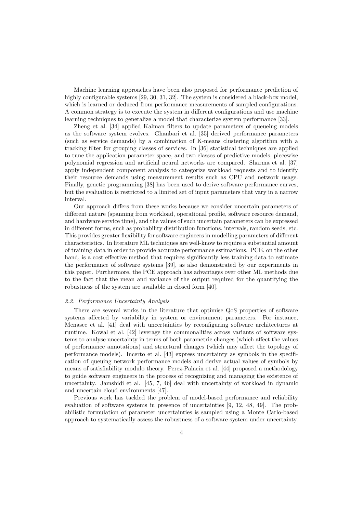Machine learning approaches have been also proposed for performance prediction of highly configurable systems [29, 30, 31, 32]. The system is considered a black-box model, which is learned or deduced from performance measurements of sampled configurations. A common strategy is to execute the system in different configurations and use machine learning techniques to generalize a model that characterize system performance [33].

Zheng et al. [34] applied Kalman filters to update parameters of queueing models as the software system evolves. Ghanbari et al. [35] derived performance parameters (such as service demands) by a combination of K-means clustering algorithm with a tracking filter for grouping classes of services. In [36] statistical techniques are applied to tune the application parameter space, and two classes of predictive models, piecewise polynomial regression and artificial neural networks are compared. Sharma et al. [37] apply independent component analysis to categorize workload requests and to identify their resource demands using measurement results such as CPU and network usage. Finally, genetic programming [38] has been used to derive software performance curves, but the evaluation is restricted to a limited set of input parameters that vary in a narrow interval.

Our approach differs from these works because we consider uncertain parameters of different nature (spanning from workload, operational profile, software resource demand, and hardware service time), and the values of such uncertain parameters can be expressed in different forms, such as probability distribution functions, intervals, random seeds, etc. This provides greater flexibility for software engineers in modelling parameters of different characteristics. In literature ML techniques are well-know to require a substantial amount of training data in order to provide accurate performance estimations. PCE, on the other hand, is a cost effective method that requires significantly less training data to estimate the performance of software systems [39], as also demonstrated by our experiments in this paper. Furthermore, the PCE approach has advantages over other ML methods due to the fact that the mean and variance of the output required for the quantifying the robustness of the system are available in closed form [40].

#### 2.2. Performance Uncertainty Analysis

There are several works in the literature that optimise QoS properties of software systems affected by variability in system or environment parameters. For instance, Menasce et al. [41] deal with uncertainties by reconfiguring software architectures at runtime. Kowal et al. [42] leverage the commonalities across variants of software systems to analyse uncertainty in terms of both parametric changes (which affect the values of performance annotations) and structural changes (which may affect the topology of performance models). Incerto et al. [43] express uncertainty as symbols in the specification of queuing network performance models and derive actual values of symbols by means of satisfiability modulo theory. Perez-Palacin et al. [44] proposed a methodology to guide software engineers in the process of recognizing and managing the existence of uncertainty. Jamshidi et al. [45, 7, 46] deal with uncertainty of workload in dynamic and uncertain cloud environments [47].

Previous work has tackled the problem of model-based performance and reliability evaluation of software systems in presence of uncertainties [9, 12, 48, 49]. The probabilistic formulation of parameter uncertainties is sampled using a Monte Carlo-based approach to systematically assess the robustness of a software system under uncertainty.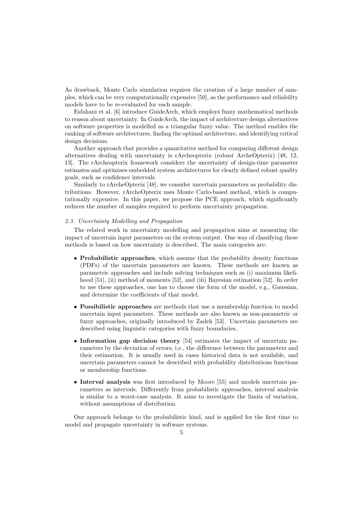As drawback, Monte Carlo simulation requires the creation of a large number of samples, which can be very computationally expensive [50], as the performance and reliability models have to be re-evaluated for each sample.

Esfahani et al. [6] introduce GuideArch, which employs fuzzy mathematical methods to reason about uncertainty. In GuideArch, the impact of architecture design alternatives on software properties is modelled as a triangular fuzzy value. The method enables the ranking of software architectures, finding the optimal architecture, and identifying critical design decisions.

Another approach that provides a quantitative method for comparing different design alternatives dealing with uncertainty is rArcheopterix (robust ArcheOpterix) [48, 12, 13]. The rArcheopterix framework considers the uncertainty of design-time parameter estimates and optimises embedded system architectures for clearly defined robust quality goals, such as confidence intervals.

Similarly to rArcheOpterix [48], we consider uncertain parameters as probability distributions. However, rArcheOpterix uses Monte Carlo-based method, which is computationally expensive. In this paper, we propose the PCE approach, which significantly reduces the number of samples required to perform uncertainty propagation.

# 2.3. Uncertainty Modelling and Propagation

The related work in uncertainty modelling and propagation aims at measuring the impact of uncertain input parameters on the system output. One way of classifying these methods is based on how uncertainty is described. The main categories are:

- Probabilistic approaches, which assume that the probability density functions (PDFs) of the uncertain parameters are known. These methods are known as parametric approaches and include solving techniques such as (i) maximum likelihood [51], (ii) method of moments [52], and (iii) Bayesian estimation [52]. In order to use these approaches, one has to choose the form of the model, e.g., Gaussian, and determine the coefficients of that model.
- Possibilistic approaches are methods that use a membership function to model uncertain input parameters. These methods are also known as non-parametric or fuzzy approaches, originally introduced by Zadeh [53]. Uncertain parameters are described using linguistic categories with fuzzy boundaries.
- Information gap decision theory [54] estimates the impact of uncertain parameters by the deviation of errors, i.e., the difference between the parameters and their estimation. It is usually used in cases historical data is not available, and uncertain parameters cannot be described with probability distributions functions or membership functions.
- Interval analysis was first introduced by Moore [55] and models uncertain parameters as intervals. Differently from probabilistic approaches, interval analysis is similar to a worst-case analysis. It aims to investigate the limits of variation, without assumptions of distribution.

Our approach belongs to the probabilistic kind, and is applied for the first time to model and propagate uncertainty in software systems.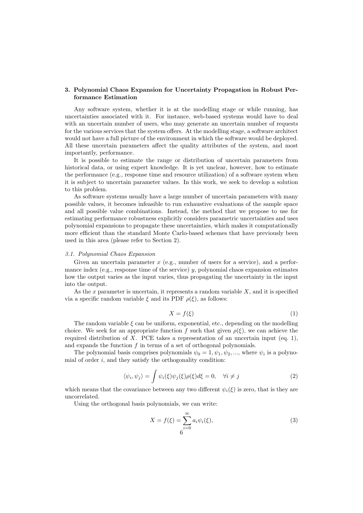# 3. Polynomial Chaos Expansion for Uncertainty Propagation in Robust Performance Estimation

Any software system, whether it is at the modelling stage or while running, has uncertainties associated with it. For instance, web-based systems would have to deal with an uncertain number of users, who may generate an uncertain number of requests for the various services that the system offers. At the modelling stage, a software architect would not have a full picture of the environment in which the software would be deployed. All these uncertain parameters affect the quality attributes of the system, and most importantly, performance.

It is possible to estimate the range or distribution of uncertain parameters from historical data, or using expert knowledge. It is yet unclear, however, how to estimate the performance (e.g., response time and resource utilization) of a software system when it is subject to uncertain parameter values. In this work, we seek to develop a solution to this problem.

As software systems usually have a large number of uncertain parameters with many possible values, it becomes infeasible to run exhaustive evaluations of the sample space and all possible value combinations. Instead, the method that we propose to use for estimating performance robustness explicitly considers parametric uncertainties and uses polynomial expansions to propagate these uncertainties, which makes it computationally more efficient than the standard Monte Carlo-based schemes that have previously been used in this area (please refer to Section 2).

#### 3.1. Polynomial Chaos Expansion

Given an uncertain parameter  $x$  (e.g., number of users for a service), and a performance index (e.g., response time of the service) y, polynomial chaos expansion estimates how the output varies as the input varies, thus propagating the uncertainty in the input into the output.

As the x parameter is uncertain, it represents a random variable  $X$ , and it is specified via a specific random variable  $\xi$  and its PDF  $\rho(\xi)$ , as follows:

$$
X = f(\xi) \tag{1}
$$

The random variable  $\xi$  can be uniform, exponential, etc., depending on the modelling choice. We seek for an appropriate function f such that given  $\rho(\xi)$ , we can achieve the required distribution of X. PCE takes a representation of an uncertain input (eq. 1), and expands the function f in terms of a set of orthogonal polynomials.

The polynomial basis comprises polynomials  $\psi_0 = 1, \psi_1, \psi_2, \dots$ , where  $\psi_i$  is a polynomial of order  $i$ , and they satisfy the orthogonality condition:

$$
\langle \psi_i, \psi_j \rangle = \int \psi_i(\xi) \psi_j(\xi) \rho(\xi) d\xi = 0, \quad \forall i \neq j \tag{2}
$$

which means that the covariance between any two different  $\psi_i(\xi)$  is zero, that is they are uncorrelated.

Using the orthogonal basis polynomials, we can write:

$$
X = f(\xi) = \sum_{i=0}^{\infty} a_i \psi_i(\xi),
$$
\n(3)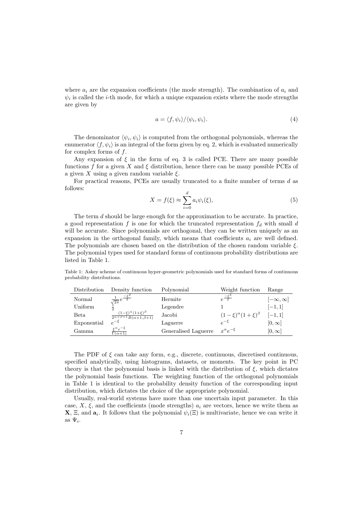where  $a_i$  are the expansion coefficients (the mode strength). The combination of  $a_i$  and  $\psi_i$  is called the *i*-th mode, for which a unique expansion exists where the mode strengths are given by

$$
a = \langle f, \psi_i \rangle / \langle \psi_i, \psi_i \rangle. \tag{4}
$$

The denominator  $\langle \psi_i, \psi_i \rangle$  is computed from the orthogonal polynomials, whereas the enumerator  $\langle f, \psi_i \rangle$  is an integral of the form given by eq. 2, which is evaluated numerically for complex forms of  $f$ .

Any expansion of  $\xi$  in the form of eq. 3 is called PCE. There are many possible functions f for a given X and  $\xi$  distribution, hence there can be many possible PCEs of a given X using a given random variable  $\xi$ .

For practical reasons, PCEs are usually truncated to a finite number of terms d as follows:

$$
X = f(\xi) \approx \sum_{i=0}^{d} a_i \psi_i(\xi), \tag{5}
$$

The term d should be large enough for the approximation to be accurate. In practice, a good representation f is one for which the truncated representation  $f_d$  with small d will be accurate. Since polynomials are orthogonal, they can be written uniquely as an expansion in the orthogonal family, which means that coefficients  $a_i$  are well defined. The polynomials are chosen based on the distribution of the chosen random variable  $\xi$ . The polynomial types used for standard forms of continuous probability distributions are listed in Table 1.

Table 1: Askey scheme of continuous hyper-geometric polynomials used for standard forms of continuous probability distributions.

| Distribution | Density function                                                                | Polynomial           | Weight function                        | Range              |
|--------------|---------------------------------------------------------------------------------|----------------------|----------------------------------------|--------------------|
| Normal       | $\frac{1}{\sqrt{2\pi}}e^{-\frac{\xi^2}{2}}$                                     | Hermite              | $e^{\frac{-\xi^2}{2}}$                 | $[-\infty,\infty]$ |
| Uniform      |                                                                                 | Legendre             |                                        | $[-1, 1]$          |
| Beta         | $\frac{(1-\xi)^{\alpha}(1+\xi)^{\beta}}{2^{\alpha+\beta+1}B(\alpha+1,\beta+1)}$ | Jacobi               | $(1 - \xi)^{\alpha} (1 + \xi)^{\beta}$ | $[-1, 1]$          |
| Exponential  | $e^{-\xi}$                                                                      | Laguerre             | $e^{-\xi}$                             | $[0,\infty]$       |
| Gamma        | $\xi^{\alpha}e^{-\xi}$<br>$\Gamma(\alpha+1)$                                    | Generalised Laguerre | $x^{\alpha}e^{-\xi}$                   | $[0,\infty]$       |

The PDF of  $\xi$  can take any form, e.g., discrete, continuous, discretised continuous, specified analytically, using histograms, datasets, or moments. The key point in PC theory is that the polynomial basis is linked with the distribution of  $\xi$ , which dictates the polynomial basis functions. The weighting function of the orthogonal polynomials in Table 1 is identical to the probability density function of the corresponding input distribution, which dictates the choice of the appropriate polynomial.

Usually, real-world systems have more than one uncertain input parameter. In this case, X,  $\xi$ , and the coefficients (mode strengths)  $a_i$  are vectors, hence we write them as **X**,  $\Xi$ , and  $\mathbf{a}_i$ . It follows that the polynomial  $\psi_i(\Xi)$  is multivariate, hence we can write it as  $\Psi_i$ .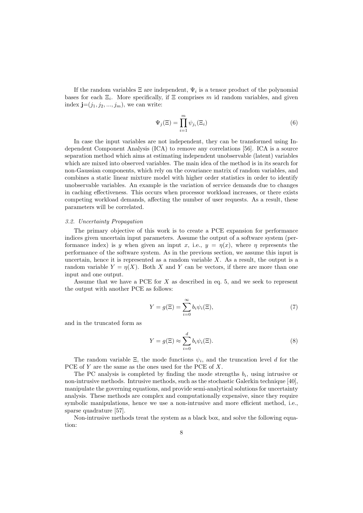If the random variables  $\Xi$  are independent,  $\Psi_i$  is a tensor product of the polynomial bases for each  $\Xi_i$ . More specifically, if  $\Xi$  comprises m id random variables, and given index  ${\bf j}=(j_1, j_2, ..., j_m)$ , we can write:

$$
\Psi_j(\Xi) = \prod_{i=1}^m \psi_{j_i}(\Xi_i)
$$
\n(6)

In case the input variables are not independent, they can be transformed using Independent Component Analysis (ICA) to remove any correlations [56]. ICA is a source separation method which aims at estimating independent unobservable (latent) variables which are mixed into observed variables. The main idea of the method is in its search for non-Gaussian components, which rely on the covariance matrix of random variables, and combines a static linear mixture model with higher order statistics in order to identify unobservable variables. An example is the variation of service demands due to changes in caching effectiveness. This occurs when processor workload increases, or there exists competing workload demands, affecting the number of user requests. As a result, these parameters will be correlated.

#### 3.2. Uncertainty Propagation

The primary objective of this work is to create a PCE expansion for performance indices given uncertain input parameters. Assume the output of a software system (performance index) is y when given an input x, i.e.,  $y = \eta(x)$ , where  $\eta$  represents the performance of the software system. As in the previous section, we assume this input is uncertain, hence it is represented as a random variable  $X$ . As a result, the output is a random variable  $Y = \eta(X)$ . Both X and Y can be vectors, if there are more than one input and one output.

Assume that we have a PCE for  $X$  as described in eq. 5, and we seek to represent the output with another PCE as follows:

$$
Y = g(\Xi) = \sum_{i=0}^{\infty} b_i \psi_i(\Xi), \tag{7}
$$

and in the truncated form as

$$
Y = g(\Xi) \approx \sum_{i=0}^{d} b_i \psi_i(\Xi). \tag{8}
$$

The random variable  $\Xi$ , the mode functions  $\psi_i$ , and the truncation level d for the PCE of Y are the same as the ones used for the PCE of X.

The PC analysis is completed by finding the mode strengths  $b_i$ , using intrusive or non-intrusive methods. Intrusive methods, such as the stochastic Galerkin technique [40], manipulate the governing equations, and provide semi-analytical solutions for uncertainty analysis. These methods are complex and computationally expensive, since they require symbolic manipulations, hence we use a non-intrusive and more efficient method, i.e., sparse quadrature [57].

Non-intrusive methods treat the system as a black box, and solve the following equation: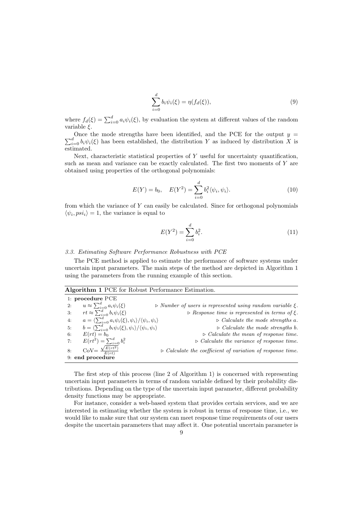$$
\sum_{i=0}^{d} b_i \psi_i(\xi) = \eta(f_d(\xi)),\tag{9}
$$

where  $f_d(\xi) = \sum_{i=0}^d a_i \psi_i(\xi)$ , by evaluation the system at different values of the random variable  $\xi$ .

 $\sum$ Once the mode strengths have been identified, and the PCE for the output  $y = \frac{d}{i=0} b_i \psi_i(\xi)$  has been established, the distribution Y as induced by distribution X is estimated.

Next, characteristic statistical properties of  $Y$  useful for uncertainty quantification, such as mean and variance can be exactly calculated. The first two moments of Y are obtained using properties of the orthogonal polynomials:

$$
E(Y) = b_0, \quad E(Y^2) = \sum_{i=0}^{d} b_i^2 \langle \psi_i, \psi_i \rangle.
$$
 (10)

from which the variance of Y can easily be calculated. Since for orthogonal polynomials  $\langle \psi_i, psi_i \rangle = 1$ , the variance is equal to

$$
E(Y^2) = \sum_{i=0}^{d} b_i^2.
$$
 (11)

## 3.3. Estimating Software Performance Robustness with PCE

The PCE method is applied to estimate the performance of software systems under uncertain input parameters. The main steps of the method are depicted in Algorithm 1 using the parameters from the running example of this section.

# Algorithm 1 PCE for Robust Performance Estimation.

|    | 1: procedure PCE                                                                            |                                                                               |
|----|---------------------------------------------------------------------------------------------|-------------------------------------------------------------------------------|
| 2: | $u \approx \sum_{i=0}^{d} a_i \psi_i(\xi)$                                                  | $\triangleright$ Number of users is represented using random variable $\xi$ . |
| 3: | $rt \approx \sum_{i=0}^{d} b_i \psi_i(\xi)$                                                 | $\triangleright$ Response time is represented in terms of $\xi$ .             |
| 4: | $a = \langle \sum_{i=0}^d a_i \psi_i(\xi), \psi_i \rangle / \langle \psi_i, \psi_i \rangle$ | $\triangleright$ Calculate the mode strengths a.                              |
| 5. | $b = \langle \sum_{i=0}^d b_i \psi_i(\xi), \psi_i \rangle / \langle \psi_i, \psi_i \rangle$ | $\triangleright$ Calculate the mode strengths b.                              |
| 6: | $E(rt) = b_0$                                                                               | $\triangleright$ Calculate the mean of response time.                         |
| 7: | $E(rt^2) = \sum_{i=0}^d b_i^2$                                                              | $\triangleright$ Calculate the variance of response time.                     |
|    | 8: CoV= $\frac{\sqrt{E(rt^2)}}{E(rt)}$<br>9: end procedure                                  | $\triangleright$ Calculate the coefficient of variation of response time.     |
|    |                                                                                             |                                                                               |

The first step of this process (line 2 of Algorithm 1) is concerned with representing uncertain input parameters in terms of random variable defined by their probability distributions. Depending on the type of the uncertain input parameter, different probability density functions may be appropriate.

For instance, consider a web-based system that provides certain services, and we are interested in estimating whether the system is robust in terms of response time, i.e., we would like to make sure that our system can meet response time requirements of our users despite the uncertain parameters that may affect it. One potential uncertain parameter is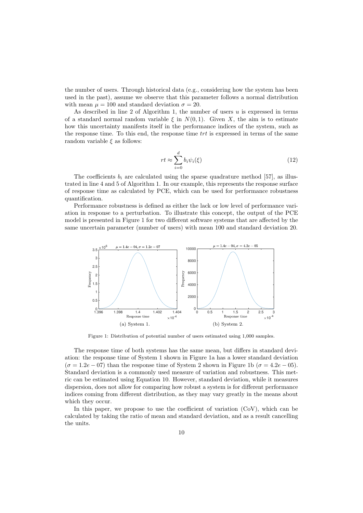the number of users. Through historical data (e.g., considering how the system has been used in the past), assume we observe that this parameter follows a normal distribution with mean  $\mu = 100$  and standard deviation  $\sigma = 20$ .

As described in line 2 of Algorithm 1, the number of users  $u$  is expressed in terms of a standard normal random variable  $\xi$  in  $N(0, 1)$ . Given X, the aim is to estimate how this uncertainty manifests itself in the performance indices of the system, such as the response time. To this end, the response time trt is expressed in terms of the same random variable  $\xi$  as follows:

$$
rt \approx \sum_{i=0}^{d} b_i \psi_i(\xi) \tag{12}
$$

The coefficients  $b_i$  are calculated using the sparse quadrature method [57], as illustrated in line 4 and 5 of Algorithm 1. In our example, this represents the response surface of response time as calculated by PCE, which can be used for performance robustness quantification.

Performance robustness is defined as either the lack or low level of performance variation in response to a perturbation. To illustrate this concept, the output of the PCE model is presented in Figure 1 for two different software systems that are affected by the same uncertain parameter (number of users) with mean 100 and standard deviation 20.



Figure 1: Distribution of potential number of users estimated using 1,000 samples.

The response time of both systems has the same mean, but differs in standard deviation: the response time of System 1 shown in Figure 1a has a lower standard deviation  $(\sigma = 1.2e - 07)$  than the response time of System 2 shown in Figure 1b  $(\sigma = 4.2e - 05)$ . Standard deviation is a commonly used measure of variation and robustness. This metric can be estimated using Equation 10. However, standard deviation, while it measures dispersion, does not allow for comparing how robust a system is for different performance indices coming from different distribution, as they may vary greatly in the means about which they occur.

In this paper, we propose to use the coefficient of variation (CoV), which can be calculated by taking the ratio of mean and standard deviation, and as a result cancelling the units.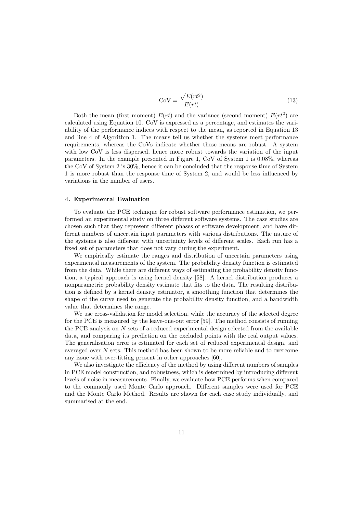$$
CoV = \frac{\sqrt{E(rt^2)}}{E(rt)}
$$
\n(13)

Both the mean (first moment)  $E(rt)$  and the variance (second moment)  $E(rt^2)$  are calculated using Equation 10. CoV is expressed as a percentage, and estimates the variability of the performance indices with respect to the mean, as reported in Equation 13 and line 4 of Algorithm 1. The means tell us whether the systems meet performance requirements, whereas the CoVs indicate whether these means are robust. A system with low CoV is less dispersed, hence more robust towards the variation of the input parameters. In the example presented in Figure 1, CoV of System 1 is 0.08%, whereas the CoV of System 2 is 30%, hence it can be concluded that the response time of System 1 is more robust than the response time of System 2, and would be less influenced by variations in the number of users.

#### 4. Experimental Evaluation

To evaluate the PCE technique for robust software performance estimation, we performed an experimental study on three different software systems. The case studies are chosen such that they represent different phases of software development, and have different numbers of uncertain input parameters with various distributions. The nature of the systems is also different with uncertainty levels of different scales. Each run has a fixed set of parameters that does not vary during the experiment.

We empirically estimate the ranges and distribution of uncertain parameters using experimental measurements of the system. The probability density function is estimated from the data. While there are different ways of estimating the probability density function, a typical approach is using kernel density [58]. A kernel distribution produces a nonparametric probability density estimate that fits to the data. The resulting distribution is defined by a kernel density estimator, a smoothing function that determines the shape of the curve used to generate the probability density function, and a bandwidth value that determines the range.

We use cross-validation for model selection, while the accuracy of the selected degree for the PCE is measured by the leave-one-out error [59]. The method consists of running the PCE analysis on  $N$  sets of a reduced experimental design selected from the available data, and comparing its prediction on the excluded points with the real output values. The generalisation error is estimated for each set of reduced experimental design, and averaged over N sets. This method has been shown to be more reliable and to overcome any issue with over-fitting present in other approaches [60].

We also investigate the efficiency of the method by using different numbers of samples in PCE model construction, and robustness, which is determined by introducing different levels of noise in measurements. Finally, we evaluate how PCE performs when compared to the commonly used Monte Carlo approach. Different samples were used for PCE and the Monte Carlo Method. Results are shown for each case study individually, and summarised at the end.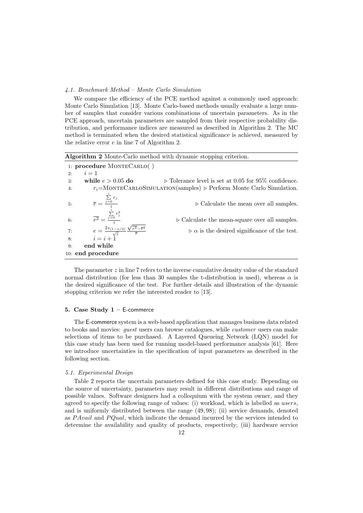## 4.1. Benchmark Method – Monte Carlo Simulation

We compare the efficiency of the PCE method against a commonly used approach: Monte Carlo Simulation [13]. Monte Carlo-based methods usually evaluate a large number of samples that consider various combinations of uncertain parameters. As in the PCE approach, uncertain parameters are sampled from their respective probability distribution, and performance indices are measured as described in Algorithm 2. The MC method is terminated when the desired statistical significance is achieved, measured by the relative error e in line 7 of Algorithm 2.

Algorithm 2 Monte-Carlo method with dynamic stopping criterion.

|    | 1: procedure MONTECARLO()                                                                                       |                                                                                       |
|----|-----------------------------------------------------------------------------------------------------------------|---------------------------------------------------------------------------------------|
| 2: | $i=1$                                                                                                           |                                                                                       |
| 3: | while $e > 0.05$ do                                                                                             | $\triangleright$ Tolerance level is set at 0.05 for 95\% confidence.                  |
| 4: |                                                                                                                 | $r_i$ =MONTECARLOSIMULATION(samples) $\triangleright$ Perform Monte Carlo Simulation. |
| 5: | $\overline{r} = \frac{\sum\limits_{j=0}^{n} r_j}{\sum\limits_{i=1}^{n} r_i}$                                    | $\triangleright$ Calculate the mean over all samples.                                 |
| 6: | $\overline{r^2} = \frac{\sum_{j=0}^{n} r_j^2}{\frac{r^2}{4}}$                                                   | $\triangleright$ Calculate the mean-square over all samples.                          |
| 7: | $e = \frac{2z_{(1-\alpha/2)}}{\sqrt{i}} \frac{\sqrt{\overline{r^2}-\overline{r}^2}}{\overline{r}}$<br>$i = i+1$ | $\triangleright \alpha$ is the desired significance of the test.                      |
| 8: |                                                                                                                 |                                                                                       |
| 9: | end while                                                                                                       |                                                                                       |
|    | 10: end procedure                                                                                               |                                                                                       |

The parameter  $z$  in line  $7$  refers to the inverse cumulative density value of the standard normal distribution (for less than 30 samples the t-distribution is used), whereas  $\alpha$  is the desired significance of the test. For further details and illustration of the dynamic stopping criterion we refer the interested reader to [13].

# 5. Case Study  $1 - E$ -commerce

The E-commerce system is a web-based application that manages business data related to books and movies: guest users can browse catalogues, while customer users can make selections of items to be purchased. A Layered Queueing Network (LQN) model for this case study has been used for running model-based performance analysis [61]. Here we introduce uncertainties in the specification of input parameters as described in the following section.

# 5.1. Experimental Design

Table 2 reports the uncertain parameters defined for this case study. Depending on the source of uncertainty, parameters may result in different distributions and range of possible values. Software designers had a colloquium with the system owner, and they agreed to specify the following range of values: (i) workload, which is labelled as users, and is uniformly distributed between the range (49, 98); (ii) service demands, denoted as  $P\text{Avail}$  and  $P\text{Qual}$ , which indicate the demand incurred by the services intended to determine the availability and quality of products, respectively; (iii) hardware service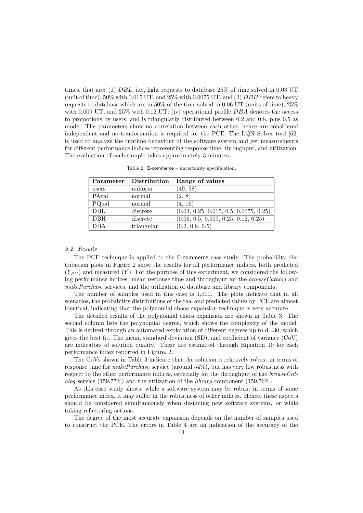times, that are: (1)  $DBL$ , i.e., light requests to database  $25\%$  of time solved in 0.03 UT (unit of time),  $50\%$  with 0.015 UT, and  $25\%$  with 0.0075 UT, and (2) DBH refers to heavy requests to database which are in 50% of the time solved in 0.06 UT (units of time), 25% with 0.009 UT, and  $25\%$  with 0.12 UT; (iv) operational profile DBA denotes the access to promotions by users, and is triangularly distributed between 0.2 and 0.8, plus 0.5 as mode. The parameters show no correlation between each other, hence are considered independent and no tranformation is required for the PCE. The LQN Solver tool [62] is used to analyze the runtime behaviour of the software system and get measurements for different performance indices representing response time, throughput, and utilization. The evaluation of each sample takes approximately 3 minutes.

| Parameter  | Distribution | Range of values                          |
|------------|--------------|------------------------------------------|
| users      | uniform      | (49, 98)                                 |
| PAvail     | normal       | (2, 8)                                   |
| PQual      | normal       | (4, 16)                                  |
| DBL        | discrete     | $(0.03, 0.25, 0.015, 0.5, 0.0075, 0.25)$ |
| <b>DBH</b> | discrete     | (0.06, 0.5, 0.009, 0.25, 0.12, 0.25)     |
| <b>DBA</b> | triangular   | (0.2, 0.8, 0.5)                          |

Table 2: E-commerce – uncertainty specification.

#### 5.2. Results

The PCE technique is applied to the E-commerce case study. The probability distribution plots in Figure 2 show the results for all performance indices, both predicted  $(Y_{PC})$  and measured  $(Y)$ . For the purpose of this experiment, we considered the following performance indices: mean response time and throughput for the browseCatalog and makePurchase services, and the utilization of database and library components.

The number of samples used in this case is 1,000. The plots indicate that in all scenarios, the probability distributions of the real and predicted values by PCE are almost identical, indicating that the polynomial chaos expansion technique is very accurate.

The detailed results of the polynomial chaos expansion are shown in Table 3. The second column lists the polynomial degree, which shows the complexity of the model. This is derived through an automated exploration of different degrees up to  $d=30$ , which gives the best fit. The mean, standard deviation (SD), and coefficient of variance (CoV) are indicators of solution quality. These are estimated through Equation 10 for each performance index reported in Figure. 2.

The CoVs shown in Table 3 indicate that the solution is relatively robust in terms of response time for *makePurchase* service (around 54%), but has very low robustness with respect to the other performance indices, especially for the throughput of the *browseCat*alog service (159.77%) and the utilization of the *library* component (159.76%).

As this case study shows, while a software system may be robust in terms of some performance index, it may suffer in the robustness of other indices. Hence, these aspects should be considered simultaneously when designing new software systems, or while taking refactoring actions.

The degree of the most accurate expansion depends on the number of samples used to construct the PCE. The errors in Table 4 are an indication of the accuracy of the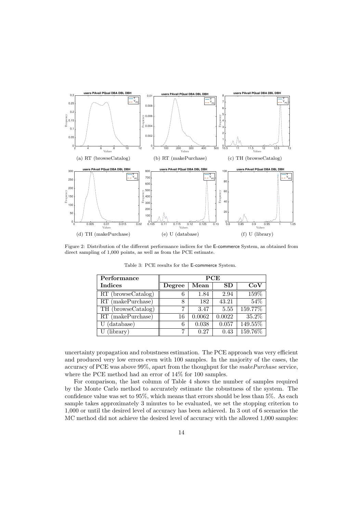

Figure 2: Distribution of the different performance indices for the E-commerce System, as obtained from direct sampling of 1,000 points, as well as from the PCE estimate.

| Performance          | PCE    |        |           |                         |  |  |
|----------------------|--------|--------|-----------|-------------------------|--|--|
| <b>Indices</b>       | Degree | Mean   | <b>SD</b> | $\overline{\text{CoV}}$ |  |  |
| RT (browseCatalog)   | 6      | 1.84   | 2.94      | 159%                    |  |  |
| (makePurchase)<br>RT | 8      | 182    | 43.21     | 54\%                    |  |  |
| TH (browseCatalog)   | 7      | 3.47   | 5.55      | 159.77%                 |  |  |
| RT (makePurchase)    | 16     | 0.0062 | 0.0022    | 35.2%                   |  |  |
| (database)           | 6      | 0.038  | 0.057     | 149.55%                 |  |  |
| (library)            | ד      | 0.27   | 0.43      | 159.76%                 |  |  |

Table 3: PCE results for the E-commerce System.

uncertainty propagation and robustness estimation. The PCE approach was very efficient and produced very low errors even with 100 samples. In the majority of the cases, the accuracy of PCE was above 99%, apart from the thoughput for the makePurchase service, where the PCE method had an error of 14% for 100 samples.

For comparison, the last column of Table 4 shows the number of samples required by the Monte Carlo method to accurately estimate the robustness of the system. The confidence value was set to 95%, which means that errors should be less than 5%. As each sample takes approximately 3 minutes to be evaluated, we set the stopping criterion to 1,000 or until the desired level of accuracy has been achieved. In 3 out of 6 scenarios the MC method did not achieve the desired level of accuracy with the allowed 1,000 samples: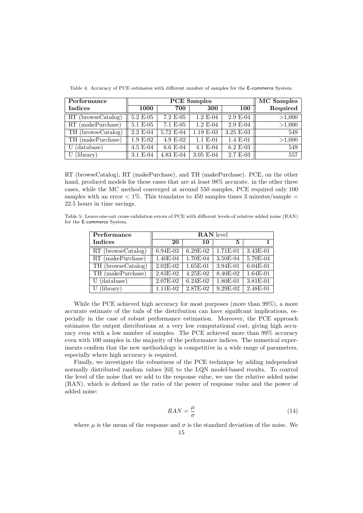| Performance                    |             | MC Samples  |             |            |          |
|--------------------------------|-------------|-------------|-------------|------------|----------|
| Indices                        | 1000        | 700         | 300         | <b>100</b> | Required |
| (browseCatalog)<br>RT          | 5.2 E-05    | $7.2 E-0.5$ | $1.2 E-04$  | $2.9 E-04$ | >1,000   |
| (makePurchase)<br>RT           | $5.1 E-0.5$ | $7.1 E-05$  | $1.2 E-04$  | $2.9 E-04$ | >1,000   |
| (browseCatalog)<br>TH          | $2.2 E-04$  | 5.72 E-04   | 1.19 E-03   | 3.25 E-03  | 549      |
| TH (makePurchase)              | 1.9 E-02    | $4.9 E-02$  | 1.1 E-01    | 1.4 E-01   | >1,000   |
| $(\overline{\text{database}})$ | $4.5 E-04$  | $6.6 E-04$  | $4.1 E-04$  | $6.2 E-03$ | 549      |
| $\overline{U}$ (library)       | 3.1 E-04    | 4.83 E-04   | $3.05 E-04$ | $2.7 E-03$ | 557      |

Table 4: Accuracy of PCE estimates with different number of samples for the E-commerce System.

RT (browseCatalog), RT (makePurchase), and TH (makePurchase). PCE, on the other hand, produced models for these cases that are at least  $98\%$  accurate. in the other three cases, while the MC method converged at around 550 samples, PCE required only 100 samples with an error  $< 1\%$ . This translates to 450 samples times 3 minutes/sample = 22.5 hours in time savings.

Table 5: Leave-one-out cross-validation errors of PCE with different levels of relative added noise (RAN) for the E-commerce System.

| Performance        | <b>RAN</b> level |            |            |            |  |
|--------------------|------------------|------------|------------|------------|--|
| Indices            | 20               | 10         | 5          |            |  |
| RT (browseCatalog) | $6.94E-03$       | $6.29E-02$ | $1.71E-01$ | 3.43E-01   |  |
| RT (makePurchase)  | $1.40E-04$       | $1.70E-04$ | $3.50E-04$ | 5.70E-04   |  |
| TH (browseCatalog) | $2.02E-02$       | $1.65E-01$ | 3.94E-01   | 6.04E-01   |  |
| TH (makePurchase)  | $2.83E-02$       | 4.25E-02   | 8.40E-02   | $1.64E-01$ |  |
| (database)         | 2.07E-02         | 6.24E-02   | 1.80E-01   | 3.81E-01   |  |
| (library)          | 1.11E-02         | 2.87E-02   | 9.29E-02   | 2.48E-01   |  |

While the PCE achieved high accuracy for most purposes (more than 99%), a more accurate estimate of the tails of the distribution can have significant implications, especially in the case of robust performance estimation. Moreover, the PCE approach estimates the output distributions at a very low computational cost, giving high accuracy even with a low number of samples. The PCE achieved more than 99% accuracy even with 100 samples in the majority of the performance indices. The numerical experiments confirm that the new methodology is competitive in a wide range of parameters, especially where high accuracy is required.

Finally, we investigate the robustness of the PCE technique by adding independent normally distributed random values [63] to the LQN model-based results. To control the level of the noise that we add to the response value, we use the relative added noise (RAN), which is defined as the ratio of the power of response value and the power of added noise:

$$
RAN = \frac{\mu}{\sigma} \tag{14}
$$

where  $\mu$  is the mean of the response and  $\sigma$  is the standard deviation of the noise. We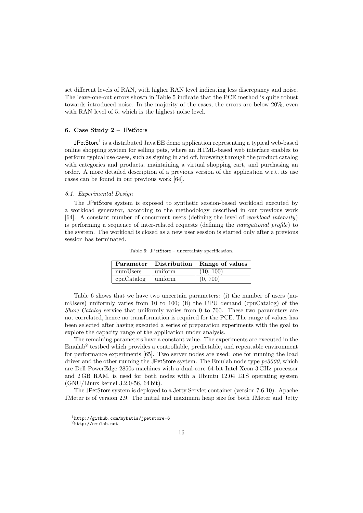set different levels of RAN, with higher RAN level indicating less discrepancy and noise. The leave-one-out errors shown in Table 5 indicate that the PCE method is quite robust towards introduced noise. In the majority of the cases, the errors are below 20%, even with RAN level of 5, which is the highest noise level.

# 6. Case Study 2 – JPetStore

 $JPetStore<sup>1</sup>$  is a distributed Java EE demo application representing a typical web-based online shopping system for selling pets, where an HTML-based web interface enables to perform typical use cases, such as signing in and off, browsing through the product catalog with categories and products, maintaining a virtual shopping cart, and purchasing an order. A more detailed description of a previous version of the application w.r.t. its use cases can be found in our previous work [64].

#### 6.1. Experimental Design

The JPetStore system is exposed to synthetic session-based workload executed by a workload generator, according to the methodology described in our previous work [64]. A constant number of concurrent users (defining the level of workload intensity) is performing a sequence of inter-related requests (defining the navigational profile) to the system. The workload is closed as a new user session is started only after a previous session has terminated.

|            |         | Parameter   Distribution   Range of values |
|------------|---------|--------------------------------------------|
| numUsers   | uniform | (10, 100)                                  |
| cpuCatalog | uniform | (0, 700)                                   |

Table 6: JPetStore – uncertainty specification.

Table 6 shows that we have two uncertain parameters: (i) the number of users (numUsers) uniformly varies from 10 to 100; (ii) the CPU demand (cpuCatalog) of the Show Catalog service that uniformly varies from 0 to 700. These two parameters are not correlated, hence no transformation is required for the PCE. The range of values has been selected after having executed a series of preparation experiments with the goal to explore the capacity range of the application under analysis.

The remaining parameters have a constant value. The experiments are executed in the Emulab<sup>2</sup> testbed which provides a controllable, predictable, and repeatable environment for performance experiments [65]. Two server nodes are used: one for running the load driver and the other running the JPetStore system. The Emulab node type  $pc3000$ , which are Dell PowerEdge 2850s machines with a dual-core 64-bit Intel Xeon 3 GHz processor and 2 GB RAM, is used for both nodes with a Ubuntu 12.04 LTS operating system (GNU/Linux kernel 3.2.0-56, 64 bit).

The JPetStore system is deployed to a Jetty Servlet container (version 7.6.10). Apache JMeter is of version 2.9. The initial and maximum heap size for both JMeter and Jetty

<sup>1</sup>http://github.com/mybatis/jpetstore-6 <sup>2</sup>http://emulab.net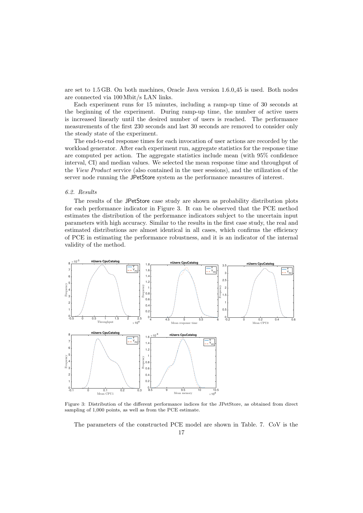are set to 1.5 GB. On both machines, Oracle Java version 1.6.0 45 is used. Both nodes are connected via 100 Mbit/s LAN links.

Each experiment runs for 15 minutes, including a ramp-up time of 30 seconds at the beginning of the experiment. During ramp-up time, the number of active users is increased linearly until the desired number of users is reached. The performance measurements of the first 230 seconds and last 30 seconds are removed to consider only the steady state of the experiment.

The end-to-end response times for each invocation of user actions are recorded by the workload generator. After each experiment run, aggregate statistics for the response time are computed per action. The aggregate statistics include mean (with 95% confidence interval, CI) and median values. We selected the mean response time and throughput of the View Product service (also contained in the user sessions), and the utilization of the server node running the JPetStore system as the performance measures of interest.

## 6.2. Results

The results of the JPetStore case study are shown as probability distribution plots for each performance indicator in Figure 3. It can be observed that the PCE method estimates the distribution of the performance indicators subject to the uncertain input parameters with high accuracy. Similar to the results in the first case study, the real and estimated distributions are almost identical in all cases, which confirms the efficiency of PCE in estimating the performance robustness, and it is an indicator of the internal validity of the method.



Figure 3: Distribution of the different performance indices for the JPetStore, as obtained from direct sampling of 1,000 points, as well as from the PCE estimate.

The parameters of the constructed PCE model are shown in Table. 7. CoV is the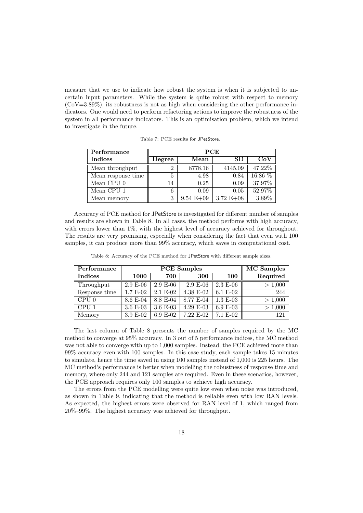measure that we use to indicate how robust the system is when it is subjected to uncertain input parameters. While the system is quite robust with respect to memory  $(CoV=3.89\%)$ , its robustness is not as high when considering the other performance indicators. One would need to perform refactoring actions to improve the robustness of the system in all performance indicators. This is an optimisation problem, which we intend to investigate in the future.

| Performance        | <b>PCE</b> |             |             |         |  |  |
|--------------------|------------|-------------|-------------|---------|--|--|
| Indices            | Degree     | Mean        | SD          | CoV     |  |  |
| Mean throughput    |            | 8778.16     | 4145.09     | 47.22%  |  |  |
| Mean response time | 5          | 4.98        | 0.84        | 16.86 % |  |  |
| Mean CPU 0         | 14         | 0.25        | 0.09        | 37.97%  |  |  |
| Mean CPU $1$       | 6          | 0.09        | 0.05        | 52.97%  |  |  |
| Mean memory        | 3          | $9.54 E+09$ | 3.72 $E+08$ | 3.89%   |  |  |

Table 7: PCE results for JPetStore.

Accuracy of PCE method for JPetStore is investigated for different number of samples and results are shown in Table 8. In all cases, the method performs with high accuracy, with errors lower than  $1\%$ , with the highest level of accuracy achieved for throughout. The results are very promising, especially when considering the fact that even with 100 samples, it can produce more than 99% accuracy, which saves in computational cost.

| Performance      |            | <b>PCE</b> Samples |            |            |          |  |
|------------------|------------|--------------------|------------|------------|----------|--|
| Indices          | 1000       | 700                | 300        | 100        | Required |  |
| Throughput       | $2.9 E-06$ | $2.9 E-06$         | $2.9 E-06$ | $2.3 E-06$ | > 1,000  |  |
| Response time    | $1.7 E-02$ | $2.1 E-02$         | 4.38 E-02  | $6.1 E-02$ | 244      |  |
| CPU 0            | $8.6 E-04$ | 8.8 E-04           | 8.77 E-04  | 1.3 E-03   | > 1,000  |  |
| CPU <sub>1</sub> | $3.6 E-03$ | $3.6 E - 03$       | 4.29 E-03  | $6.9 E-03$ | > 1,000  |  |
| Memory           | $3.9 E-02$ | $6.9 E-02$         | 7.22 E-02  | 7.1 E-02   | 121      |  |

Table 8: Accuracy of the PCE method for JPetStore with different sample sizes.

The last column of Table 8 presents the number of samples required by the MC method to converge at 95% accuracy. In 3 out of 5 performance indices, the MC method was not able to converge with up to 1,000 samples. Instead, the PCE achieved more than 99% accuracy even with 100 samples. In this case study, each sample takes 15 minutes to simulate, hence the time saved in using 100 samples instead of 1,000 is 225 hours. The MC method's performance is better when modelling the robustness of response time and memory, where only 244 and 121 samples are required. Even in these scenarios, however, the PCE approach requires only 100 samples to achieve high accuracy.

The errors from the PCE modelling were quite low even when noise was introduced, as shown in Table 9, indicating that the method is reliable even with low RAN levels. As expected, the highest errors were observed for RAN level of 1, which ranged from 20%–99%. The highest accuracy was achieved for throughput.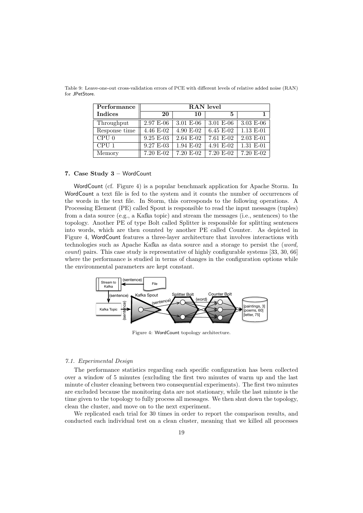| Performance      | <b>RAN</b> level |                        |             |             |  |  |
|------------------|------------------|------------------------|-------------|-------------|--|--|
| Indices          | 20               | 10                     | 5           |             |  |  |
| Throughput       | $2.97 E-06$      | $3.01 \text{ E} - 06$  | $3.01$ E-06 | $3.03 E-06$ |  |  |
| Response time    | 4.46 E-02        | $4.90 E-02$            | 6.45 E-02   | 1.13 E-01   |  |  |
| CPU 0            | 9.25 E-03        | $2.64$ E-02            | 7.61 E-02   | $2.03 E-01$ |  |  |
| CPU <sub>1</sub> | 9.27 E-03        | $1.94$ E-02            | 4.91 E-02   | 1.31 E-01   |  |  |
| Memory           | $7.20 E-02$      | $7.20 \text{ E} - 0.2$ | $7.20$ E-02 | 7.20 E-02   |  |  |

Table 9: Leave-one-out cross-validation errors of PCE with different levels of relative added noise (RAN) for JPetStore.

# 7. Case Study 3 – WordCount

WordCount (cf. Figure 4) is a popular benchmark application for Apache Storm. In WordCount a text file is fed to the system and it counts the number of occurrences of the words in the text file. In Storm, this corresponds to the following operations. A Processing Element (PE) called Spout is responsible to read the input messages (tuples) from a data source (e.g., a Kafka topic) and stream the messages (i.e., sentences) to the topology. Another PE of type Bolt called Splitter is responsible for splitting sentences into words, which are then counted by another PE called Counter. As depicted in Figure 4, WordCount features a three-layer architecture that involves interactions with technologies such as Apache Kafka as data source and a storage to persist the (word, count) pairs. This case study is representative of highly configurable systems [33, 30, 66] where the performance is studied in terms of changes in the configuration options while the environmental parameters are kept constant.



Figure 4: WordCount topology architecture.

#### 7.1. Experimental Design

The performance statistics regarding each specific configuration has been collected over a window of 5 minutes (excluding the first two minutes of warm up and the last minute of cluster cleaning between two consequential experiments). The first two minutes are excluded because the monitoring data are not stationary, while the last minute is the time given to the topology to fully process all messages. We then shut down the topology, clean the cluster, and move on to the next experiment.

We replicated each trial for 30 times in order to report the comparison results, and conducted each individual test on a clean cluster, meaning that we killed all processes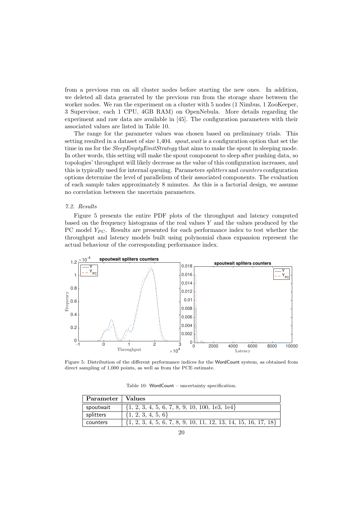from a previous run on all cluster nodes before starting the new ones. In addition, we deleted all data generated by the previous run from the storage share between the worker nodes. We ran the experiment on a cluster with 5 nodes (1 Nimbus, 1 ZooKeeper, 3 Supervisor, each 1 CPU, 4GB RAM) on OpenNebula. More details regarding the experiment and raw data are available in [45]. The configuration parameters with their associated values are listed in Table 10.

The range for the parameter values was chosen based on preliminary trials. This setting resulted in a dataset of size 1,404. *spout\_wait* is a configuration option that set the time in ms for the *SleepEmptyEmitStrategy* that aims to make the spout in sleeping mode. In other words, this setting will make the spout component to sleep after pushing data, so topologies' throughput will likely decrease as the value of this configuration increases, and this is typically used for internal queuing. Parameters splitters and counters configuration options determine the level of parallelism of their associated components. The evaluation of each sample takes approximately 8 minutes. As this is a factorial design, we assume no correlation between the uncertain parameters.

## 7.2. Results

Figure 5 presents the entire PDF plots of the throughput and latency computed based on the frequency histograms of the real values  $Y$  and the values produced by the PC model  $Y_{PC}$ . Results are presented for each performance index to test whether the throughput and latency models built using polynomial chaos expansion represent the actual behaviour of the corresponding performance index.



Figure 5: Distribution of the different performance indices for the WordCount system, as obtained from direct sampling of 1,000 points, as well as from the PCE estimate.

| Parameter   Values |                                                                     |
|--------------------|---------------------------------------------------------------------|
| spoutwait          | $\{1, 2, 3, 4, 5, 6, 7, 8, 9, 10, 100, 1e3, 1e4\}$                  |
| splitters          | $\{1, 2, 3, 4, 5, 6\}$                                              |
| counters           | $\{1, 2, 3, 4, 5, 6, 7, 8, 9, 10, 11, 12, 13, 14, 15, 16, 17, 18\}$ |

Table 10: WordCount – uncertainty specification.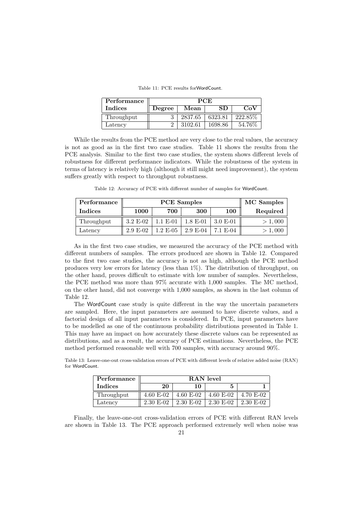Table 11: PCE results forWordCount.

| Performance    | <b>PCE</b> |         |         |          |  |  |
|----------------|------------|---------|---------|----------|--|--|
| <b>Indices</b> | Degree     | Mean    | SD      | CoV      |  |  |
| Throughput     |            | 2837.65 | 6323.81 | 222.85\% |  |  |
| Latency        |            | 3102.61 | 1698.86 | 54.76%   |  |  |

While the results from the PCE method are very close to the real values, the accuracy is not as good as in the first two case studies. Table 11 shows the results from the PCE analysis. Similar to the first two case studies, the system shows different levels of robustness for different performance indicators. While the robustness of the system in terms of latency is relatively high (although it still might need improvement), the system suffers greatly with respect to throughput robustness.

Table 12: Accuracy of PCE with different number of samples for WordCount.

| Performance |            | MC Samples |            |                      |          |
|-------------|------------|------------|------------|----------------------|----------|
| Indices     | 1000       | 700        | 300        | 100                  | Required |
| Throughput  | $3.2 E-02$ | 1.1 E-01   | $1.8 E-01$ | $3.0 E-01$           | > 1,000  |
| Latency     | $2.9 E-02$ | $1.2$ E-05 | $2.9 E-04$ | $7.1 \text{ E} - 04$ | > 1,000  |

As in the first two case studies, we measured the accuracy of the PCE method with different numbers of samples. The errors produced are shown in Table 12. Compared to the first two case studies, the accuracy is not as high, although the PCE method produces very low errors for latency (less than 1%). The distribution of throughput, on the other hand, proves difficult to estimate with low number of samples. Nevertheless, the PCE method was more than 97% accurate with 1,000 samples. The MC method, on the other hand, did not converge with 1,000 samples, as shown in the last column of Table 12.

The WordCount case study is quite different in the way the uncertain parameters are sampled. Here, the input parameters are assumed to have discrete values, and a factorial design of all input parameters is considered. In PCE, input parameters have to be modelled as one of the continuous probability distributions presented in Table 1. This may have an impact on how accurately these discrete values can be represented as distributions, and as a result, the accuracy of PCE estimations. Nevertheless, the PCE method performed reasonable well with 700 samples, with accuracy around 90%.

Table 13: Leave-one-out cross-validation errors of PCE with different levels of relative added noise (RAN) for WordCount.

| Performance      | <b>RAN</b> level |             |             |             |  |  |
|------------------|------------------|-------------|-------------|-------------|--|--|
| Indices          | 20               | 10          |             |             |  |  |
| Throughput       | 4.60 $E-02$      | 4.60 $E-02$ | 4.60 $E-02$ | 4.70 E-02   |  |  |
| $\text{Latency}$ | $2.30$ E-02      | $2.30 E-02$ | $2.30 E-02$ | $2.30 E-02$ |  |  |

Finally, the leave-one-out cross-validation errors of PCE with different RAN levels are shown in Table 13. The PCE approach performed extremely well when noise was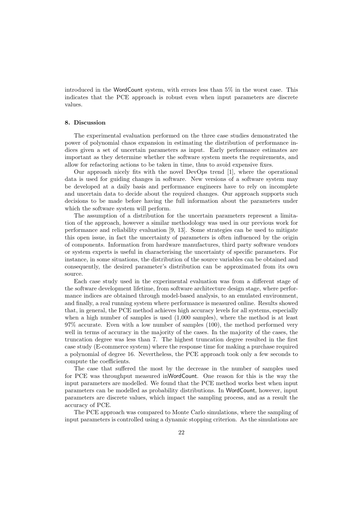introduced in the WordCount system, with errors less than 5% in the worst case. This indicates that the PCE approach is robust even when input parameters are discrete values.

# 8. Discussion

The experimental evaluation performed on the three case studies demonstrated the power of polynomial chaos expansion in estimating the distribution of performance indices given a set of uncertain parameters as input. Early performance estimates are important as they determine whether the software system meets the requirements, and allow for refactoring actions to be taken in time, thus to avoid expensive fixes.

Our approach nicely fits with the novel DevOps trend [1], where the operational data is used for guiding changes in software. New versions of a software system may be developed at a daily basis and performance engineers have to rely on incomplete and uncertain data to decide about the required changes. Our approach supports such decisions to be made before having the full information about the parameters under which the software system will perform.

The assumption of a distribution for the uncertain parameters represent a limitation of the approach, however a similar methodology was used in our previous work for performance and reliability evaluation [9, 13]. Some strategies can be used to mitigate this open issue, in fact the uncertainty of parameters is often influenced by the origin of components. Information from hardware manufactures, third party software vendors or system experts is useful in characterising the uncertainty of specific parameters. For instance, in some situations, the distribution of the source variables can be obtained and consequently, the desired parameter's distribution can be approximated from its own source.

Each case study used in the experimental evaluation was from a different stage of the software development lifetime, from software architecture design stage, where performance indices are obtained through model-based analysis, to an emulated environment, and finally, a real running system where performance is measured online. Results showed that, in general, the PCE method achieves high accuracy levels for all systems, especially when a high number of samples is used (1,000 samples), where the method is at least 97% accurate. Even with a low number of samples (100), the method performed very well in terms of accuracy in the majority of the cases. In the majority of the cases, the truncation degree was less than 7. The highest truncation degree resulted in the first case study (E-commerce system) where the response time for making a purchase required a polynomial of degree 16. Nevertheless, the PCE approach took only a few seconds to compute the coefficients.

The case that suffered the most by the decrease in the number of samples used for PCE was throughput measured inWordCount. One reason for this is the way the input parameters are modelled. We found that the PCE method works best when input parameters can be modelled as probability distributions. In WordCount, however, input parameters are discrete values, which impact the sampling process, and as a result the accuracy of PCE.

The PCE approach was compared to Monte Carlo simulations, where the sampling of input parameters is controlled using a dynamic stopping criterion. As the simulations are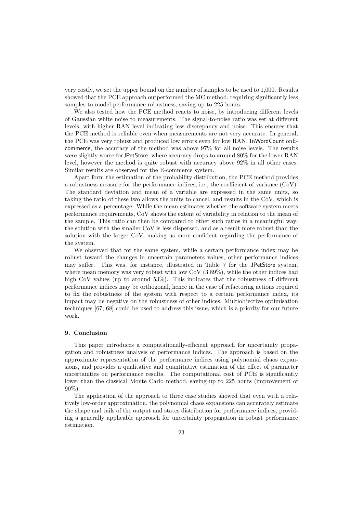very costly, we set the upper bound on the number of samples to be used to 1,000. Results showed that the PCE approach outperformed the MC method, requiring significantly less samples to model performance robustness, saving up to 225 hours.

We also tested how the PCE method reacts to noise, by introducing different levels of Gaussian white noise to measurements. The signal-to-noise ratio was set at different levels, with higher RAN level indicating less discrepancy and noise. This ensures that the PCE method is reliable even when measurements are not very accurate. In general, the PCE was very robust and produced low errors even for low RAN. InWordCount onEcommerce, the accuracy of the method was above 97% for all noise levels. The results were slightly worse forJPetStore, where accuracy drops to around 80% for the lower RAN level, however the method is quite robust with accuracy above 92% in all other cases. Similar results are observed for the E-commerce system.

Apart form the estimation of the probability distribution, the PCE method provides a robustness measure for the performance indices, i.e., the coefficient of variance (CoV). The standard deviation and mean of a variable are expressed in the same units, so taking the ratio of these two allows the units to cancel, and results in the CoV, which is expressed as a percentage. While the mean estimates whether the software system meets performance requirements, CoV shows the extent of variability in relation to the mean of the sample. This ratio can then be compared to other such ratios in a meaningful way: the solution with the smaller CoV is less dispersed, and as a result more robust than the solution with the larger CoV, making us more confident regarding the performance of the system.

We observed that for the same system, while a certain performance index may be robust toward the changes in uncertain parameters values, other performance indices may suffer. This was, for instance, illustrated in Table 7 for the JPetStore system, where mean memory was very robust with low CoV  $(3.89\%)$ , while the other indices had high CoV values (up to around 53%). This indicates that the robustness of different performance indices may be orthogonal, hence in the case of refactoring actions required to fix the robustness of the system with respect to a certain performance index, its impact may be negative on the robustness of other indices. Multiobjective optimisation techniques [67, 68] could be used to address this issue, which is a priority for our future work.

## 9. Conclusion

This paper introduces a computationally-efficient approach for uncertainty propagation and robustness analysis of performance indices. The approach is based on the approximate representation of the performance indices using polynomial chaos expansions, and provides a qualitative and quantitative estimation of the effect of parameter uncertainties on performance results. The computational cost of PCE is significantly lower than the classical Monte Carlo method, saving up to 225 hours (improvement of 90%).

The application of the approach to three case studies showed that even with a relatively low-order approximation, the polynomial chaos expansions can accurately estimate the shape and tails of the output and states distribution for performance indices, providing a generally applicable approach for uncertainty propagation in robust performance estimation.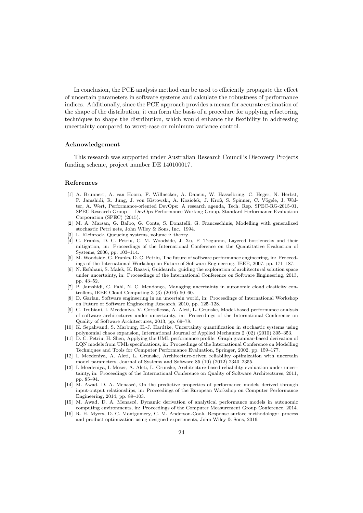In conclusion, the PCE analysis method can be used to efficiently propagate the effect of uncertain parameters in software systems and calculate the robustness of performance indices. Additionally, since the PCE approach provides a means for accurate estimation of the shape of the distribution, it can form the basis of a procedure for applying refactoring techniques to shape the distribution, which would enhance the flexibility in addressing uncertainty compared to worst-case or minimum variance control.

## Acknowledgement

This research was supported under Australian Research Council's Discovery Projects funding scheme, project number DE 140100017.

# References

- [1] A. Brunnert, A. van Hoorn, F. Willnecker, A. Danciu, W. Hasselbring, C. Heger, N. Herbst, P. Jamshidi, R. Jung, J. von Kistowski, A. Koziolek, J. Kroß, S. Spinner, C. Vögele, J. Walter, A. Wert, Performance-oriented DevOps: A research agenda, Tech. Rep. SPEC-RG-2015-01, SPEC Research Group — DevOps Performance Working Group, Standard Performance Evaluation Corporation (SPEC) (2015).
- [2] M. A. Marsan, G. Balbo, G. Conte, S. Donatelli, G. Franceschinis, Modelling with generalized stochastic Petri nets, John Wiley & Sons, Inc., 1994.
- L. Kleinrock, Queueing systems, volume i: theory.
- [4] G. Franks, D. C. Petriu, C. M. Woodside, J. Xu, P. Tregunno, Layered bottlenecks and their mitigation, in: Proceedings of the International Conference on the Quantitative Evaluation of Systems, 2006, pp. 103–114.
- [5] M. Woodside, G. Franks, D. C. Petriu, The future of software performance engineering, in: Proceedings of the International Workshop on Future of Software Engineering, IEEE, 2007, pp. 171–187.
- [6] N. Esfahani, S. Malek, K. Razavi, Guidearch: guiding the exploration of architectural solution space under uncertainty, in: Proceedings of the International Conference on Software Engineering, 2013, pp. 43–52.
- [7] P. Jamshidi, C. Pahl, N. C. Mendonça, Managing uncertainty in autonomic cloud elasticity controllers, IEEE Cloud Computing 3 (3) (2016) 50–60.
- [8] D. Garlan, Software engineering in an uncertain world, in: Proceedings of International Workshop on Future of Software Engineering Research, 2010, pp. 125–128.
- [9] C. Trubiani, I. Meedeniya, V. Cortellessa, A. Aleti, L. Grunske, Model-based performance analysis of software architectures under uncertainty, in: Proceedings of the International Conference on Quality of Software Architectures, 2013, pp. 69–78.
- [10] K. Sepahvand, S. Marburg, H.-J. Hardtke, Uncertainty quantification in stochastic systems using polynomial chaos expansion, International Journal of Applied Mechanics 2 (02) (2010) 305–353.
- [11] D. C. Petriu, H. Shen, Applying the UML performance profile: Graph grammar-based derivation of LQN models from UML specifications, in: Proceedings of the International Conference on Modelling Techniques and Tools for Computer Performance Evaluation, Springer, 2002, pp. 159–177.
- [12] I. Meedeniya, A. Aleti, L. Grunske, Architecture-driven reliability optimization with uncertain model parameters, Journal of Systems and Software 85 (10) (2012) 2340–2355.
- [13] I. Meedeniya, I. Moser, A. Aleti, L. Grunske, Architecture-based reliability evaluation under uncertainty, in: Proceedings of the International Conference on Quality of Software Architectures, 2011, pp. 85–94.
- [14] M. Awad, D. A. Menascé, On the predictive properties of performance models derived through input-output relationships, in: Proceedings of the European Workshop on Computer Performance Engineering, 2014, pp. 89–103.
- [15] M. Awad, D. A. Menascé, Dynamic derivation of analytical performance models in autonomic computing environments, in: Proceedings of the Computer Measurement Group Conference, 2014.
- [16] R. H. Myers, D. C. Montgomery, C. M. Anderson-Cook, Response surface methodology: process and product optimization using designed experiments, John Wiley & Sons, 2016.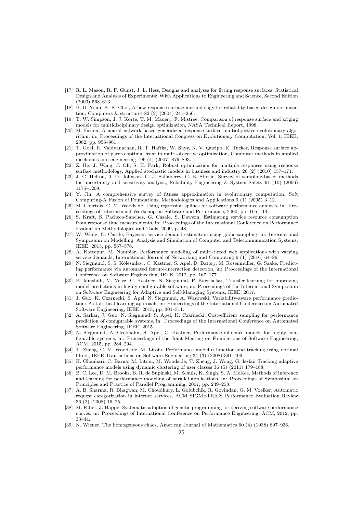- [17] R. L. Mason, R. F. Gunst, J. L. Hess, Designs and analyses for fitting response surfaces, Statistical Design and Analysis of Experiments: With Applications to Engineering and Science, Second Edition (2003) 568–613.
- [18] B. D. Youn, K. K. Choi, A new response surface methodology for reliability-based design optimization, Computers & structures 82 (2) (2004) 241–256.
- [19] T. W. Simpson, J. J. Korte, T. M. Mauery, F. Mistree, Comparison of response surface and kriging models for multidisciplinary design optimization, NASA Technical Report, 1998.
- [20] M. Farina, A neural network based generalized response surface multiobjective evolutionary algorithm, in: Proceedings of the International Congress on Evolutionary Computation, Vol. 1, IEEE, 2002, pp. 956–961.
- [21] T. Goel, R. Vaidyanathan, R. T. Haftka, W. Shyy, N. V. Queipo, K. Tucker, Response surface approximation of pareto optimal front in multi-objective optimization, Computer methods in applied mechanics and engineering 196 (4) (2007) 879–893.
- [22] Z. He, J. Wang, J. Oh, S. H. Park, Robust optimization for multiple responses using response surface methodology, Applied stochastic models in business and industry 26 (2) (2010) 157–171.
- [23] J. C. Helton, J. D. Johnson, C. J. Sallaberry, C. B. Storlie, Survey of sampling-based methods for uncertainty and sensitivity analysis, Reliability Engineering & System Safety 91 (10) (2006) 1175–1209.
- [24] Y. Jin, A comprehensive survey of fitness approximation in evolutionary computation, Soft Computing-A Fusion of Foundations, Methodologies and Applications 9 (1) (2005) 3–12.
- [25] M. Courtois, C. M. Woodside, Using regression splines for software performance analysis, in: Proceedings of International Workshop on Software and Performance, 2000, pp. 105–114.
- [26] S. Kraft, S. Pacheco-Sanchez, G. Casale, S. Dawson, Estimating service resource consumption from response time measurements, in: Proceedings of the International Conference on Performance Evaluation Methodologies and Tools, 2009, p. 48.
- [27] W. Wang, G. Casale, Bayesian service demand estimation using gibbs sampling, in: International Symposium on Modelling, Analysis and Simulation of Computer and Telecommunication Systems, IEEE, 2013, pp. 567–576.
- [28] A. Kattepur, M. Nambiar, Performance modeling of multi-tiered web applications with varying service demands, International Journal of Networking and Computing 6 (1) (2016) 64–86.
- [29] N. Siegmund, S. S. Kolesnikov, C. Kästner, S. Apel, D. Batory, M. Rosenmüller, G. Saake, Predicting performance via automated feature-interaction detection, in: Proceedings of the International Conference on Software Engineering, IEEE, 2012, pp. 167–177.
- [30] P. Jamshidi, M. Velez, C. Kästner, N. Siegmund, P. Kawthekar, Transfer learning for improving model predictions in highly configurable software, in: Proceedings of the International Symposium on Software Engineering for Adaptive and Self-Managing Systems, IEEE, 2017.
- [31] J. Guo, K. Czarnecki, S. Apel, N. Siegmund, A. Wasowski, Variability-aware performance prediction: A statistical learning approach, in: Proceedings of the International Conference on Automated Software Engineering, IEEE, 2013, pp. 301–311.
- [32] A. Sarkar, J. Guo, N. Siegmund, S. Apel, K. Czarnecki, Cost-efficient sampling for performance prediction of configurable systems, in: Proceedings of the International Conference on Automated Software Engineering, IEEE, 2015.
- [33] N. Siegmund, A. Grebhahn, S. Apel, C. Kästner, Performance-influence models for highly configurable systems, in: Proceedings of the Joint Meeting on Foundations of Software Engineering, ACM, 2015, pp. 284–294.
- [34] T. Zheng, C. M. Woodside, M. Litoiu, Performance model estimation and tracking using optimal filters, IEEE Transactions on Software Engineering 34 (3) (2008) 391–406.
- [35] H. Ghanbari, C. Barna, M. Litoiu, M. Woodside, T. Zheng, J. Wong, G. Iszlai, Tracking adaptive performance models using dynamic clustering of user classes 36 (5) (2011) 179–188.
- [36] B. C. Lee, D. M. Brooks, B. R. de Supinski, M. Schulz, K. Singh, S. A. McKee, Methods of inference and learning for performance modeling of parallel applications, in: Proceedings of Symposium on Principles and Practice of Parallel Programming, 2007, pp. 249–258.
- [37] A. B. Sharma, R. Bhagwan, M. Choudhury, L. Golubchik, R. Govindan, G. M. Voelker, Automatic request categorization in internet services, ACM SIGMETRICS Performance Evaluation Review 36 (2) (2008) 16–25.
- [38] M. Faber, J. Happe, Systematic adoption of genetic programming for deriving software performance curves, in: Proceedings of International Conference on Performance Engineering, ACM, 2012, pp. 33–44.
- [39] N. Wiener, The homogeneous chaos, American Journal of Mathematics 60 (4) (1938) 897–936.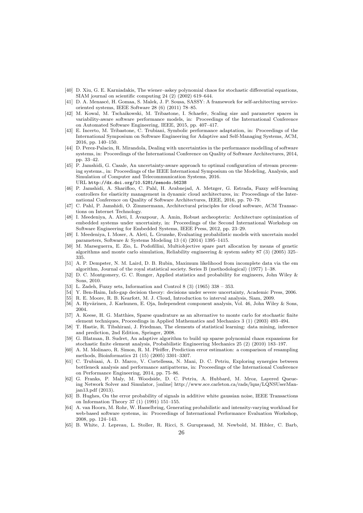- [40] D. Xiu, G. E. Karniadakis, The wiener–askey polynomial chaos for stochastic differential equations, SIAM journal on scientific computing  $24$  (2) (2002) 619–644.
- [41] D. A. Menascé, H. Gomaa, S. Malek, J. P. Sousa, SASSY: A framework for self-architecting serviceoriented systems, IEEE Software 28 (6) (2011) 78–85.
- [42] M. Kowal, M. Tschaikowski, M. Tribastone, I. Schaefer, Scaling size and parameter spaces in variability-aware software performance models, in: Proceedings of the International Conference on Automated Software Engineering, IEEE, 2015, pp. 407–417.
- [43] E. Incerto, M. Tribastone, C. Trubiani, Symbolic performance adaptation, in: Proceedings of the International Symposium on Software Engineering for Adaptive and Self-Managing Systems, ACM, 2016, pp. 140–150.
- [44] D. Perez-Palacin, R. Mirandola, Dealing with uncertainties in the performance modelling of software systems, in: Proceedings of the International Conference on Quality of Software Architectures, 2014, pp. 33–42.
- [45] P. Jamshidi, G. Casale, An uncertainty-aware approach to optimal configuration of stream processing systems., in: Proceedings of the IEEE International Symposium on the Modeling, Analysis, and Simulation of Computer and Telecommunication Systems, 2016. URL http://dx.doi.org/10.5281/zenodo.56238
- [46] P. Jamshidi, A. Sharifloo, C. Pahl, H. Arabnejad, A. Metzger, G. Estrada, Fuzzy self-learning controllers for elasticity management in dynamic cloud architectures, in: Proceedings of the International Conference on Quality of Software Architectures, IEEE, 2016, pp. 70–79.
- [47] C. Pahl, P. Jamshidi, O. Zimmermann, Architectural principles for cloud software, ACM Transactions on Internet Technology.
- [48] I. Meedeniya, A. Aleti, I. Avazpour, A. Amin, Robust archeopterix: Architecture optimization of embedded systems under uncertainty, in: Proceedings of the Second International Workshop on Software Engineering for Embedded Systems, IEEE Press, 2012, pp. 23–29.
- [49] I. Meedeniya, I. Moser, A. Aleti, L. Grunske, Evaluating probabilistic models with uncertain model parameters, Software & Systems Modeling 13 (4) (2014) 1395–1415.
- [50] M. Marseguerra, E. Zio, L. Podofillini, Multiobjective spare part allocation by means of genetic algorithms and monte carlo simulation, Reliability engineering & system safety 87 (3) (2005) 325– 335.
- [51] A. P. Dempster, N. M. Laird, D. B. Rubin, Maximum likelihood from incomplete data via the em algorithm, Journal of the royal statistical society. Series B (methodological) (1977) 1–38.
- [52] D. C. Montgomery, G. C. Runger, Applied statistics and probability for engineers, John Wiley & Sons, 2010.
- L. Zadeh, Fuzzy sets, Information and Control 8  $(3)$   $(1965)$  338 353.
- [54] Y. Ben-Haim, Info-gap decision theory: decisions under severe uncertainty, Academic Press, 2006. [55] R. E. Moore, R. B. Kearfott, M. J. Cloud, Introduction to interval analysis, Siam, 2009.
- [56] A. Hyvärinen, J. Karhunen, E. Oja, Independent component analysis, Vol. 46, John Wiley & Sons, 2004.
- [57] A. Keese, H. G. Matthies, Sparse quadrature as an alternative to monte carlo for stochastic finite element techniques, Proceedings in Applied Mathematics and Mechanics 3 (1) (2003) 493–494.
- [58] T. Hastie, R. Tibshirani, J. Friedman, The elements of statistical learning: data mining, inference and prediction, 2nd Edition, Springer, 2008.
- [59] G. Blatman, B. Sudret, An adaptive algorithm to build up sparse polynomial chaos expansions for stochastic finite element analysis, Probabilistic Engineering Mechanics 25 (2) (2010) 183–197.
- [60] A. M. Molinaro, R. Simon, R. M. Pfeiffer, Prediction error estimation: a comparison of resampling methods, Bioinformatics 21 (15) (2005) 3301–3307.
- [61] C. Trubiani, A. D. Marco, V. Cortellessa, N. Mani, D. C. Petriu, Exploring synergies between bottleneck analysis and performance antipatterns, in: Proceedings of the International Conference on Performance Engineering, 2014, pp. 75–86.
- [62] G. Franks, P. Maly, M. Woodside, D. C. Petriu, A. Hubbard, M. Mroz, Layered Queueing Network Solver and Simulator, [online] http://www.sce.carleton.ca/rads/lqns/LQNSUserManjan13.pdf (2013).
- [63] B. Hughes, On the error probability of signals in additive white gaussian noise, IEEE Transactions on Information Theory 37 (1) (1991) 151–155.
- [64] A. van Hoorn, M. Rohr, W. Hasselbring, Generating probabilistic and intensity-varying workload for web-based software systems, in: Proceedings of International Performance Evaluation Workshop, 2008, pp. 124–143.
- [65] B. White, J. Lepreau, L. Stoller, R. Ricci, S. Guruprasad, M. Newbold, M. Hibler, C. Barb,